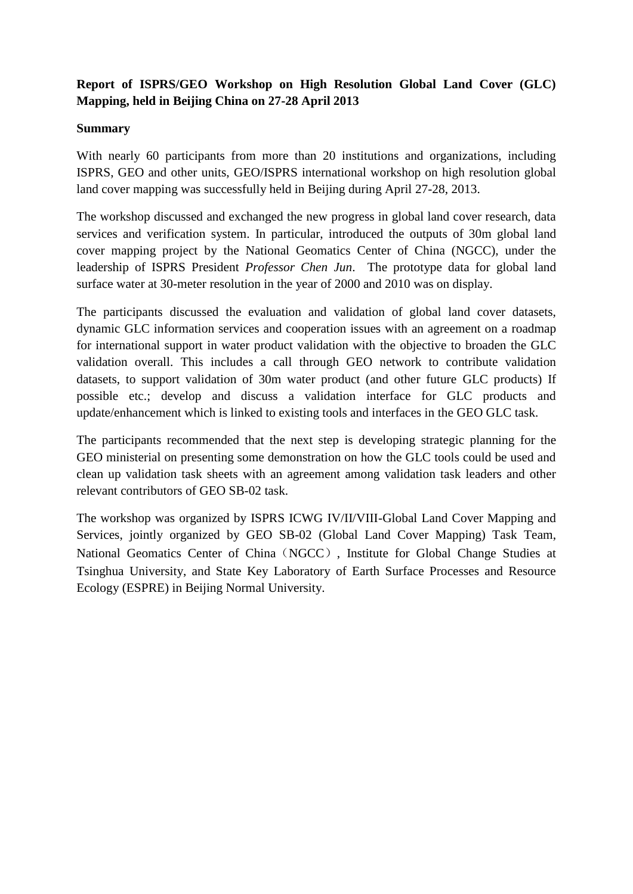# **Report of ISPRS/GEO Workshop on High Resolution Global Land Cover (GLC) Mapping, held in Beijing China on 27-28 April 2013**

### **Summary**

With nearly 60 participants from more than 20 institutions and organizations, including ISPRS, GEO and other units, GEO/ISPRS international workshop on high resolution global land cover mapping was successfully held in Beijing during April 27-28, 2013.

The workshop discussed and exchanged the new progress in global land cover research, data services and verification system. In particular, introduced the outputs of 30m global land cover mapping project by the National Geomatics Center of China (NGCC), under the leadership of ISPRS President *Professor Chen Jun*. The prototype data for global land surface water at 30-meter resolution in the year of 2000 and 2010 was on display.

The participants discussed the evaluation and validation of global land cover datasets, dynamic GLC information services and cooperation issues with an agreement on a roadmap for international support in water product validation with the objective to broaden the GLC validation overall. This includes a call through GEO network to contribute validation datasets, to support validation of 30m water product (and other future GLC products) If possible etc.; develop and discuss a validation interface for GLC products and update/enhancement which is linked to existing tools and interfaces in the GEO GLC task.

The participants recommended that the next step is developing strategic planning for the GEO ministerial on presenting some demonstration on how the GLC tools could be used and clean up validation task sheets with an agreement among validation task leaders and other relevant contributors of GEO SB-02 task.

The workshop was organized by ISPRS ICWG IV/II/VIII-Global Land Cover Mapping and Services, jointly organized by GEO SB-02 (Global Land Cover Mapping) Task Team, National Geomatics Center of China(NGCC), Institute for Global Change Studies at Tsinghua University, and State Key Laboratory of Earth Surface Processes and Resource Ecology (ESPRE) in Beijing Normal University.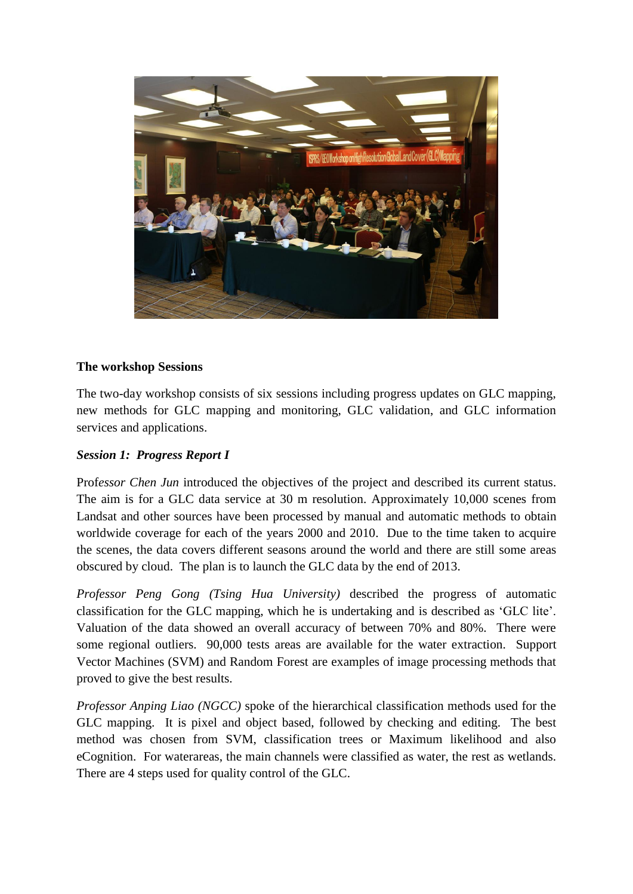

## **The workshop Sessions**

The two-day workshop consists of six sessions including progress updates on GLC mapping, new methods for GLC mapping and monitoring, GLC validation, and GLC information services and applications.

# *Session 1: Progress Report I*

Prof*essor Chen Jun* introduced the objectives of the project and described its current status. The aim is for a GLC data service at 30 m resolution. Approximately 10,000 scenes from Landsat and other sources have been processed by manual and automatic methods to obtain worldwide coverage for each of the years 2000 and 2010. Due to the time taken to acquire the scenes, the data covers different seasons around the world and there are still some areas obscured by cloud. The plan is to launch the GLC data by the end of 2013.

*Professor Peng Gong (Tsing Hua University)* described the progress of automatic classification for the GLC mapping, which he is undertaking and is described as 'GLC lite'. Valuation of the data showed an overall accuracy of between 70% and 80%. There were some regional outliers. 90,000 tests areas are available for the water extraction. Support Vector Machines (SVM) and Random Forest are examples of image processing methods that proved to give the best results.

*Professor Anping Liao (NGCC)* spoke of the hierarchical classification methods used for the GLC mapping. It is pixel and object based, followed by checking and editing. The best method was chosen from SVM, classification trees or Maximum likelihood and also eCognition. For waterareas, the main channels were classified as water, the rest as wetlands. There are 4 steps used for quality control of the GLC.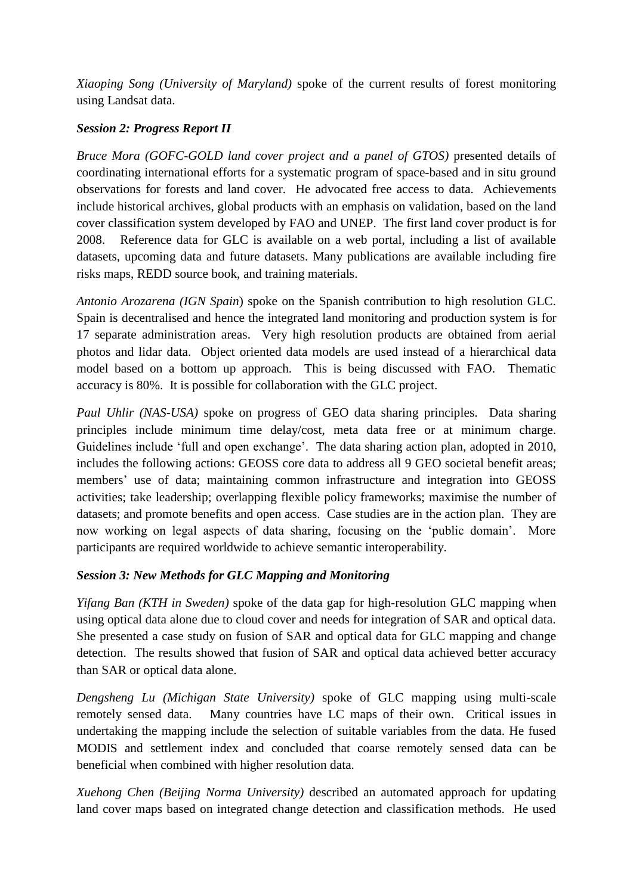*Xiaoping Song (University of Maryland)* spoke of the current results of forest monitoring using Landsat data.

## *Session 2: Progress Report II*

*Bruce Mora (GOFC-GOLD land cover project and a panel of GTOS)* presented details of coordinating international efforts for a systematic program of space-based and in situ ground observations for forests and land cover. He advocated free access to data. Achievements include historical archives, global products with an emphasis on validation, based on the land cover classification system developed by FAO and UNEP. The first land cover product is for 2008. Reference data for GLC is available on a web portal, including a list of available datasets, upcoming data and future datasets. Many publications are available including fire risks maps, REDD source book, and training materials.

*Antonio Arozarena (IGN Spain*) spoke on the Spanish contribution to high resolution GLC. Spain is decentralised and hence the integrated land monitoring and production system is for 17 separate administration areas. Very high resolution products are obtained from aerial photos and lidar data. Object oriented data models are used instead of a hierarchical data model based on a bottom up approach. This is being discussed with FAO. Thematic accuracy is 80%. It is possible for collaboration with the GLC project.

*Paul Uhlir (NAS-USA)* spoke on progress of GEO data sharing principles. Data sharing principles include minimum time delay/cost, meta data free or at minimum charge. Guidelines include 'full and open exchange'. The data sharing action plan, adopted in 2010, includes the following actions: GEOSS core data to address all 9 GEO societal benefit areas; members' use of data; maintaining common infrastructure and integration into GEOSS activities; take leadership; overlapping flexible policy frameworks; maximise the number of datasets; and promote benefits and open access. Case studies are in the action plan. They are now working on legal aspects of data sharing, focusing on the 'public domain'. More participants are required worldwide to achieve semantic interoperability.

# *Session 3: New Methods for GLC Mapping and Monitoring*

*Yifang Ban (KTH in Sweden)* spoke of the data gap for high-resolution GLC mapping when using optical data alone due to cloud cover and needs for integration of SAR and optical data. She presented a case study on fusion of SAR and optical data for GLC mapping and change detection. The results showed that fusion of SAR and optical data achieved better accuracy than SAR or optical data alone.

*Dengsheng Lu (Michigan State University)* spoke of GLC mapping using multi-scale remotely sensed data. Many countries have LC maps of their own. Critical issues in undertaking the mapping include the selection of suitable variables from the data. He fused MODIS and settlement index and concluded that coarse remotely sensed data can be beneficial when combined with higher resolution data.

*Xuehong Chen (Beijing Norma University)* described an automated approach for updating land cover maps based on integrated change detection and classification methods. He used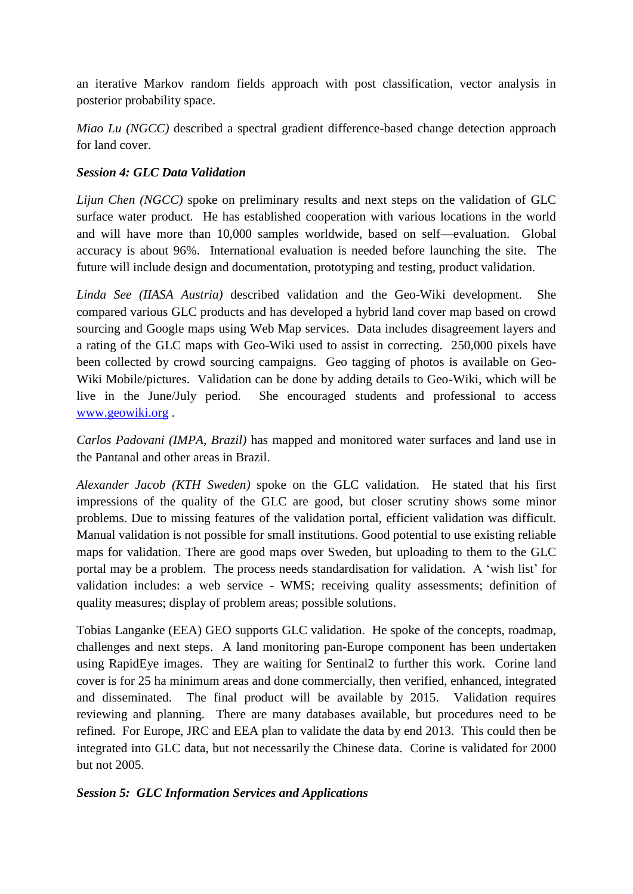an iterative Markov random fields approach with post classification, vector analysis in posterior probability space.

*Miao Lu (NGCC)* described a spectral gradient difference-based change detection approach for land cover.

## *Session 4: GLC Data Validation*

*Lijun Chen (NGCC)* spoke on preliminary results and next steps on the validation of GLC surface water product. He has established cooperation with various locations in the world and will have more than 10,000 samples worldwide, based on self—evaluation. Global accuracy is about 96%. International evaluation is needed before launching the site. The future will include design and documentation, prototyping and testing, product validation.

*Linda See (IIASA Austria)* described validation and the Geo-Wiki development. She compared various GLC products and has developed a hybrid land cover map based on crowd sourcing and Google maps using Web Map services. Data includes disagreement layers and a rating of the GLC maps with Geo-Wiki used to assist in correcting. 250,000 pixels have been collected by crowd sourcing campaigns. Geo tagging of photos is available on Geo-Wiki Mobile/pictures. Validation can be done by adding details to Geo-Wiki, which will be live in the June/July period. She encouraged students and professional to access [www.geowiki.org](http://www.geowiki.org/) .

*Carlos Padovani (IMPA, Brazil)* has mapped and monitored water surfaces and land use in the Pantanal and other areas in Brazil.

*Alexander Jacob (KTH Sweden)* spoke on the GLC validation. He stated that his first impressions of the quality of the GLC are good, but closer scrutiny shows some minor problems. Due to missing features of the validation portal, efficient validation was difficult. Manual validation is not possible for small institutions. Good potential to use existing reliable maps for validation. There are good maps over Sweden, but uploading to them to the GLC portal may be a problem. The process needs standardisation for validation. A 'wish list' for validation includes: a web service - WMS; receiving quality assessments; definition of quality measures; display of problem areas; possible solutions.

Tobias Langanke (EEA) GEO supports GLC validation. He spoke of the concepts, roadmap, challenges and next steps. A land monitoring pan-Europe component has been undertaken using RapidEye images. They are waiting for Sentinal2 to further this work. Corine land cover is for 25 ha minimum areas and done commercially, then verified, enhanced, integrated and disseminated. The final product will be available by 2015. Validation requires reviewing and planning. There are many databases available, but procedures need to be refined. For Europe, JRC and EEA plan to validate the data by end 2013. This could then be integrated into GLC data, but not necessarily the Chinese data. Corine is validated for 2000 but not 2005.

# *Session 5: GLC Information Services and Applications*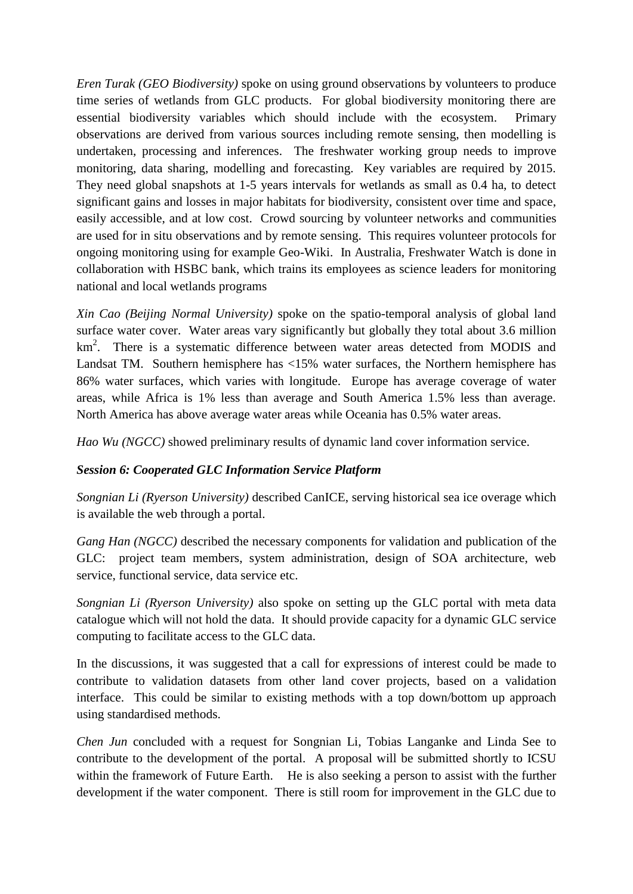*Eren Turak (GEO Biodiversity)* spoke on using ground observations by volunteers to produce time series of wetlands from GLC products. For global biodiversity monitoring there are essential biodiversity variables which should include with the ecosystem. Primary observations are derived from various sources including remote sensing, then modelling is undertaken, processing and inferences. The freshwater working group needs to improve monitoring, data sharing, modelling and forecasting. Key variables are required by 2015. They need global snapshots at 1-5 years intervals for wetlands as small as 0.4 ha, to detect significant gains and losses in major habitats for biodiversity, consistent over time and space, easily accessible, and at low cost. Crowd sourcing by volunteer networks and communities are used for in situ observations and by remote sensing. This requires volunteer protocols for ongoing monitoring using for example Geo-Wiki. In Australia, Freshwater Watch is done in collaboration with HSBC bank, which trains its employees as science leaders for monitoring national and local wetlands programs

*Xin Cao (Beijing Normal University)* spoke on the spatio-temporal analysis of global land surface water cover. Water areas vary significantly but globally they total about 3.6 million km<sup>2</sup>. There is a systematic difference between water areas detected from MODIS and Landsat TM. Southern hemisphere has <15% water surfaces, the Northern hemisphere has 86% water surfaces, which varies with longitude. Europe has average coverage of water areas, while Africa is 1% less than average and South America 1.5% less than average. North America has above average water areas while Oceania has 0.5% water areas.

*Hao Wu (NGCC)* showed preliminary results of dynamic land cover information service.

### *Session 6: Cooperated GLC Information Service Platform*

*Songnian Li (Ryerson University)* described CanICE, serving historical sea ice overage which is available the web through a portal.

*Gang Han (NGCC)* described the necessary components for validation and publication of the GLC: project team members, system administration, design of SOA architecture, web service, functional service, data service etc.

*Songnian Li (Ryerson University)* also spoke on setting up the GLC portal with meta data catalogue which will not hold the data. It should provide capacity for a dynamic GLC service computing to facilitate access to the GLC data.

In the discussions, it was suggested that a call for expressions of interest could be made to contribute to validation datasets from other land cover projects, based on a validation interface. This could be similar to existing methods with a top down/bottom up approach using standardised methods.

*Chen Jun* concluded with a request for Songnian Li, Tobias Langanke and Linda See to contribute to the development of the portal. A proposal will be submitted shortly to ICSU within the framework of Future Earth. He is also seeking a person to assist with the further development if the water component. There is still room for improvement in the GLC due to